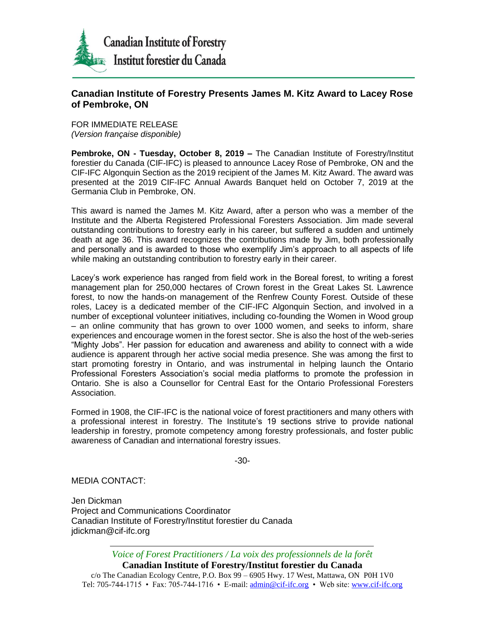

## **Canadian Institute of Forestry Presents James M. Kitz Award to Lacey Rose of Pembroke, ON**

FOR IMMEDIATE RELEASE *(Version française disponible)*

**Pembroke, ON - Tuesday, October 8, 2019 –** The Canadian Institute of Forestry/Institut forestier du Canada (CIF-IFC) is pleased to announce Lacey Rose of Pembroke, ON and the CIF-IFC Algonquin Section as the 2019 recipient of the James M. Kitz Award. The award was presented at the 2019 CIF-IFC Annual Awards Banquet held on October 7, 2019 at the Germania Club in Pembroke, ON.

This award is named the James M. Kitz Award, after a person who was a member of the Institute and the Alberta Registered Professional Foresters Association. Jim made several outstanding contributions to forestry early in his career, but suffered a sudden and untimely death at age 36. This award recognizes the contributions made by Jim, both professionally and personally and is awarded to those who exemplify Jim's approach to all aspects of life while making an outstanding contribution to forestry early in their career.

Lacey's work experience has ranged from field work in the Boreal forest, to writing a forest management plan for 250,000 hectares of Crown forest in the Great Lakes St. Lawrence forest, to now the hands-on management of the Renfrew County Forest. Outside of these roles, Lacey is a dedicated member of the CIF-IFC Algonquin Section, and involved in a number of exceptional volunteer initiatives, including co-founding the Women in Wood group – an online community that has grown to over 1000 women, and seeks to inform, share experiences and encourage women in the forest sector. She is also the host of the web-series "Mighty Jobs". Her passion for education and awareness and ability to connect with a wide audience is apparent through her active social media presence. She was among the first to start promoting forestry in Ontario, and was instrumental in helping launch the Ontario Professional Foresters Association's social media platforms to promote the profession in Ontario. She is also a Counsellor for Central East for the Ontario Professional Foresters Association.

Formed in 1908, the CIF-IFC is the national voice of forest practitioners and many others with a professional interest in forestry. The Institute's 19 sections strive to provide national leadership in forestry, promote competency among forestry professionals, and foster public awareness of Canadian and international forestry issues.

-30-

MEDIA CONTACT:

Jen Dickman Project and Communications Coordinator Canadian Institute of Forestry/Institut forestier du Canada jdickman@cif-ifc.org

*Voice of Forest Practitioners / La voix des professionnels de la forêt*

**Canadian Institute of Forestry/Institut forestier du Canada**